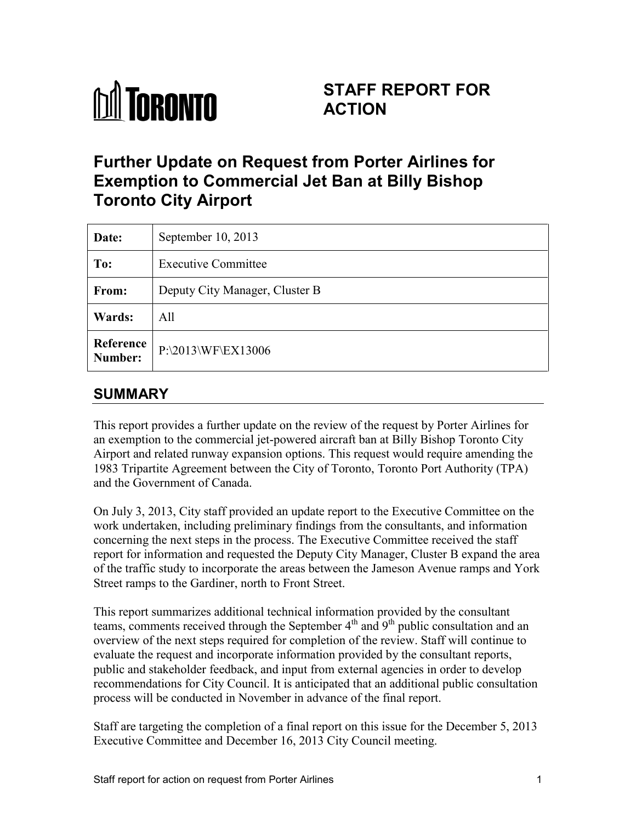

# **STAFF REPORT FOR ACTION**

# **Further Update on Request from Porter Airlines for Exemption to Commercial Jet Ban at Billy Bishop Toronto City Airport**

| Date:                | September $10, 2013$           |
|----------------------|--------------------------------|
| To:                  | <b>Executive Committee</b>     |
| From:                | Deputy City Manager, Cluster B |
| Wards:               | All                            |
| Reference<br>Number: | P:\2013\WF\EX13006             |

## **SUMMARY**

This report provides a further update on the review of the request by Porter Airlines for an exemption to the commercial jet-powered aircraft ban at Billy Bishop Toronto City Airport and related runway expansion options. This request would require amending the 1983 Tripartite Agreement between the City of Toronto, Toronto Port Authority (TPA) and the Government of Canada.

On July 3, 2013, City staff provided an update report to the Executive Committee on the work undertaken, including preliminary findings from the consultants, and information concerning the next steps in the process. The Executive Committee received the staff report for information and requested the Deputy City Manager, Cluster B expand the area of the traffic study to incorporate the areas between the Jameson Avenue ramps and York Street ramps to the Gardiner, north to Front Street.

This report summarizes additional technical information provided by the consultant teams, comments received through the September  $4<sup>th</sup>$  and  $9<sup>th</sup>$  public consultation and an overview of the next steps required for completion of the review. Staff will continue to evaluate the request and incorporate information provided by the consultant reports, public and stakeholder feedback, and input from external agencies in order to develop recommendations for City Council. It is anticipated that an additional public consultation process will be conducted in November in advance of the final report.

Staff are targeting the completion of a final report on this issue for the December 5, 2013 Executive Committee and December 16, 2013 City Council meeting.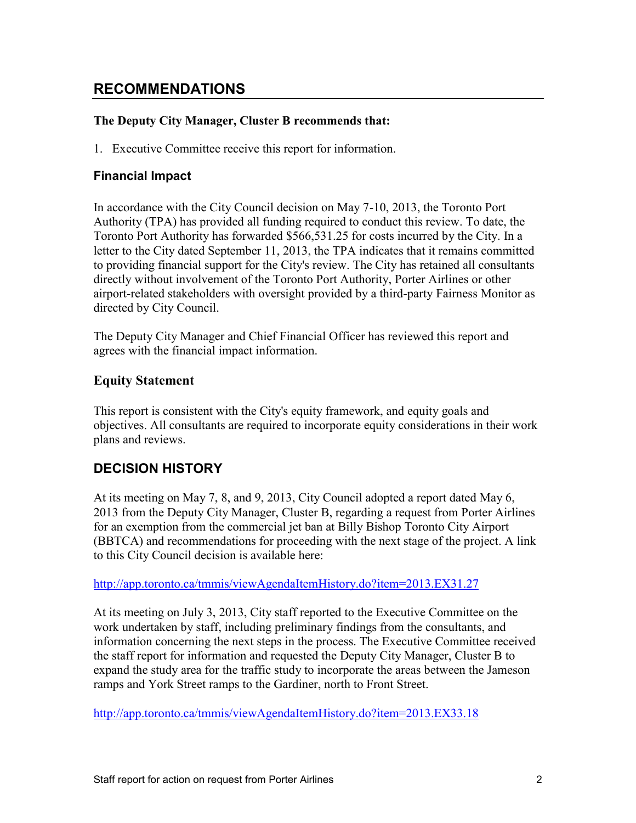## **RECOMMENDATIONS**

### **The Deputy City Manager, Cluster B recommends that:**

1. Executive Committee receive this report for information.

### **Financial Impact**

In accordance with the City Council decision on May 7-10, 2013, the Toronto Port Authority (TPA) has provided all funding required to conduct this review. To date, the Toronto Port Authority has forwarded \$566,531.25 for costs incurred by the City. In a letter to the City dated September 11, 2013, the TPA indicates that it remains committed to providing financial support for the City's review. The City has retained all consultants directly without involvement of the Toronto Port Authority, Porter Airlines or other airport-related stakeholders with oversight provided by a third-party Fairness Monitor as directed by City Council.

The Deputy City Manager and Chief Financial Officer has reviewed this report and agrees with the financial impact information.

### **Equity Statement**

This report is consistent with the City's equity framework, and equity goals and objectives. All consultants are required to incorporate equity considerations in their work plans and reviews.

## **DECISION HISTORY**

At its meeting on May 7, 8, and 9, 2013, City Council adopted a report dated May 6, 2013 from the Deputy City Manager, Cluster B, regarding a request from Porter Airlines for an exemption from the commercial jet ban at Billy Bishop Toronto City Airport (BBTCA) and recommendations for proceeding with the next stage of the project. A link to this City Council decision is available here:

<http://app.toronto.ca/tmmis/viewAgendaItemHistory.do?item=2013.EX31.27>

At its meeting on July 3, 2013, City staff reported to the Executive Committee on the work undertaken by staff, including preliminary findings from the consultants, and information concerning the next steps in the process. The Executive Committee received the staff report for information and requested the Deputy City Manager, Cluster B to expand the study area for the traffic study to incorporate the areas between the Jameson ramps and York Street ramps to the Gardiner, north to Front Street.

<http://app.toronto.ca/tmmis/viewAgendaItemHistory.do?item=2013.EX33.18>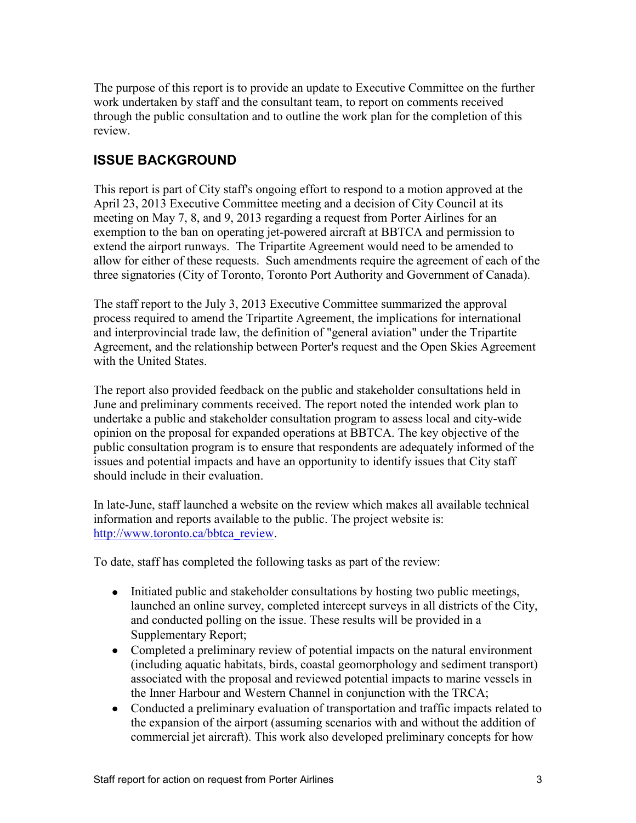The purpose of this report is to provide an update to Executive Committee on the further work undertaken by staff and the consultant team, to report on comments received through the public consultation and to outline the work plan for the completion of this review.

## **ISSUE BACKGROUND**

This report is part of City staff's ongoing effort to respond to a motion approved at the April 23, 2013 Executive Committee meeting and a decision of City Council at its meeting on May 7, 8, and 9, 2013 regarding a request from Porter Airlines for an exemption to the ban on operating jet-powered aircraft at BBTCA and permission to extend the airport runways. The Tripartite Agreement would need to be amended to allow for either of these requests. Such amendments require the agreement of each of the three signatories (City of Toronto, Toronto Port Authority and Government of Canada).

The staff report to the July 3, 2013 Executive Committee summarized the approval process required to amend the Tripartite Agreement, the implications for international and interprovincial trade law, the definition of "general aviation" under the Tripartite Agreement, and the relationship between Porter's request and the Open Skies Agreement with the United States.

The report also provided feedback on the public and stakeholder consultations held in June and preliminary comments received. The report noted the intended work plan to undertake a public and stakeholder consultation program to assess local and city-wide opinion on the proposal for expanded operations at BBTCA. The key objective of the public consultation program is to ensure that respondents are adequately informed of the issues and potential impacts and have an opportunity to identify issues that City staff should include in their evaluation.

In late-June, staff launched a website on the review which makes all available technical information and reports available to the public. The project website is: [http://www.toronto.ca/bbtca\\_review.](http://www.toronto.ca/bbtca_review)

To date, staff has completed the following tasks as part of the review:

- Initiated public and stakeholder consultations by hosting two public meetings, launched an online survey, completed intercept surveys in all districts of the City, and conducted polling on the issue. These results will be provided in a Supplementary Report;
- Completed a preliminary review of potential impacts on the natural environment (including aquatic habitats, birds, coastal geomorphology and sediment transport) associated with the proposal and reviewed potential impacts to marine vessels in the Inner Harbour and Western Channel in conjunction with the TRCA;
- Conducted a preliminary evaluation of transportation and traffic impacts related to the expansion of the airport (assuming scenarios with and without the addition of commercial jet aircraft). This work also developed preliminary concepts for how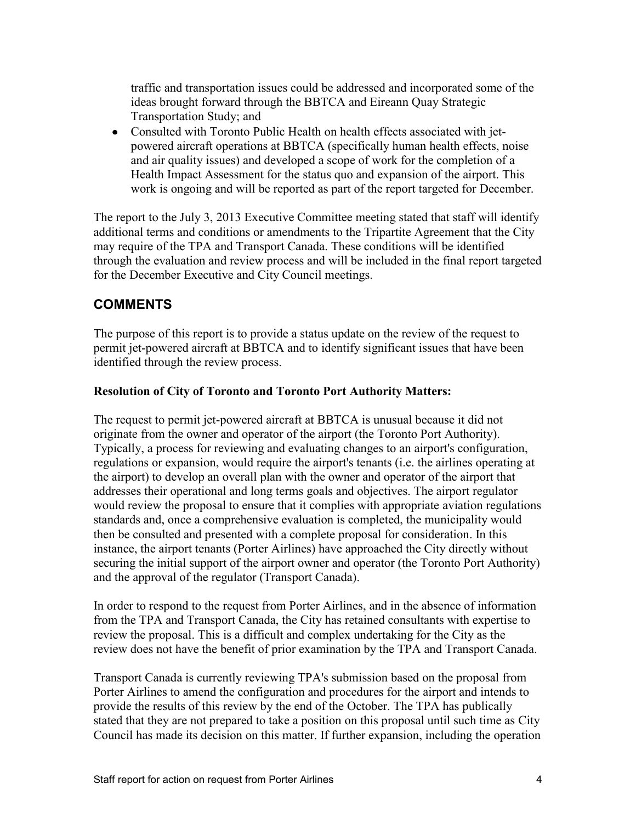traffic and transportation issues could be addressed and incorporated some of the ideas brought forward through the BBTCA and Eireann Quay Strategic Transportation Study; and

Consulted with Toronto Public Health on health effects associated with jetpowered aircraft operations at BBTCA (specifically human health effects, noise and air quality issues) and developed a scope of work for the completion of a Health Impact Assessment for the status quo and expansion of the airport. This work is ongoing and will be reported as part of the report targeted for December.

The report to the July 3, 2013 Executive Committee meeting stated that staff will identify additional terms and conditions or amendments to the Tripartite Agreement that the City may require of the TPA and Transport Canada. These conditions will be identified through the evaluation and review process and will be included in the final report targeted for the December Executive and City Council meetings.

## **COMMENTS**

The purpose of this report is to provide a status update on the review of the request to permit jet-powered aircraft at BBTCA and to identify significant issues that have been identified through the review process.

#### **Resolution of City of Toronto and Toronto Port Authority Matters:**

The request to permit jet-powered aircraft at BBTCA is unusual because it did not originate from the owner and operator of the airport (the Toronto Port Authority). Typically, a process for reviewing and evaluating changes to an airport's configuration, regulations or expansion, would require the airport's tenants (i.e. the airlines operating at the airport) to develop an overall plan with the owner and operator of the airport that addresses their operational and long terms goals and objectives. The airport regulator would review the proposal to ensure that it complies with appropriate aviation regulations standards and, once a comprehensive evaluation is completed, the municipality would then be consulted and presented with a complete proposal for consideration. In this instance, the airport tenants (Porter Airlines) have approached the City directly without securing the initial support of the airport owner and operator (the Toronto Port Authority) and the approval of the regulator (Transport Canada).

In order to respond to the request from Porter Airlines, and in the absence of information from the TPA and Transport Canada, the City has retained consultants with expertise to review the proposal. This is a difficult and complex undertaking for the City as the review does not have the benefit of prior examination by the TPA and Transport Canada.

Transport Canada is currently reviewing TPA's submission based on the proposal from Porter Airlines to amend the configuration and procedures for the airport and intends to provide the results of this review by the end of the October. The TPA has publically stated that they are not prepared to take a position on this proposal until such time as City Council has made its decision on this matter. If further expansion, including the operation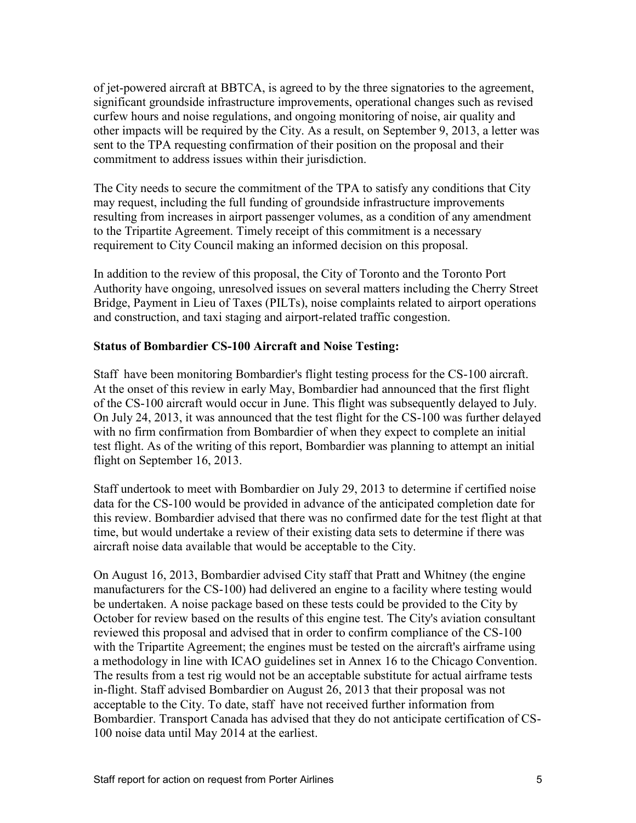of jet-powered aircraft at BBTCA, is agreed to by the three signatories to the agreement, significant groundside infrastructure improvements, operational changes such as revised curfew hours and noise regulations, and ongoing monitoring of noise, air quality and other impacts will be required by the City. As a result, on September 9, 2013, a letter was sent to the TPA requesting confirmation of their position on the proposal and their commitment to address issues within their jurisdiction.

The City needs to secure the commitment of the TPA to satisfy any conditions that City may request, including the full funding of groundside infrastructure improvements resulting from increases in airport passenger volumes, as a condition of any amendment to the Tripartite Agreement. Timely receipt of this commitment is a necessary requirement to City Council making an informed decision on this proposal.

In addition to the review of this proposal, the City of Toronto and the Toronto Port Authority have ongoing, unresolved issues on several matters including the Cherry Street Bridge, Payment in Lieu of Taxes (PILTs), noise complaints related to airport operations and construction, and taxi staging and airport-related traffic congestion.

#### **Status of Bombardier CS-100 Aircraft and Noise Testing:**

Staff have been monitoring Bombardier's flight testing process for the CS-100 aircraft. At the onset of this review in early May, Bombardier had announced that the first flight of the CS-100 aircraft would occur in June. This flight was subsequently delayed to July. On July 24, 2013, it was announced that the test flight for the CS-100 was further delayed with no firm confirmation from Bombardier of when they expect to complete an initial test flight. As of the writing of this report, Bombardier was planning to attempt an initial flight on September 16, 2013.

Staff undertook to meet with Bombardier on July 29, 2013 to determine if certified noise data for the CS-100 would be provided in advance of the anticipated completion date for this review. Bombardier advised that there was no confirmed date for the test flight at that time, but would undertake a review of their existing data sets to determine if there was aircraft noise data available that would be acceptable to the City.

On August 16, 2013, Bombardier advised City staff that Pratt and Whitney (the engine manufacturers for the CS-100) had delivered an engine to a facility where testing would be undertaken. A noise package based on these tests could be provided to the City by October for review based on the results of this engine test. The City's aviation consultant reviewed this proposal and advised that in order to confirm compliance of the CS-100 with the Tripartite Agreement; the engines must be tested on the aircraft's airframe using a methodology in line with ICAO guidelines set in Annex 16 to the Chicago Convention. The results from a test rig would not be an acceptable substitute for actual airframe tests in-flight. Staff advised Bombardier on August 26, 2013 that their proposal was not acceptable to the City. To date, staff have not received further information from Bombardier. Transport Canada has advised that they do not anticipate certification of CS-100 noise data until May 2014 at the earliest.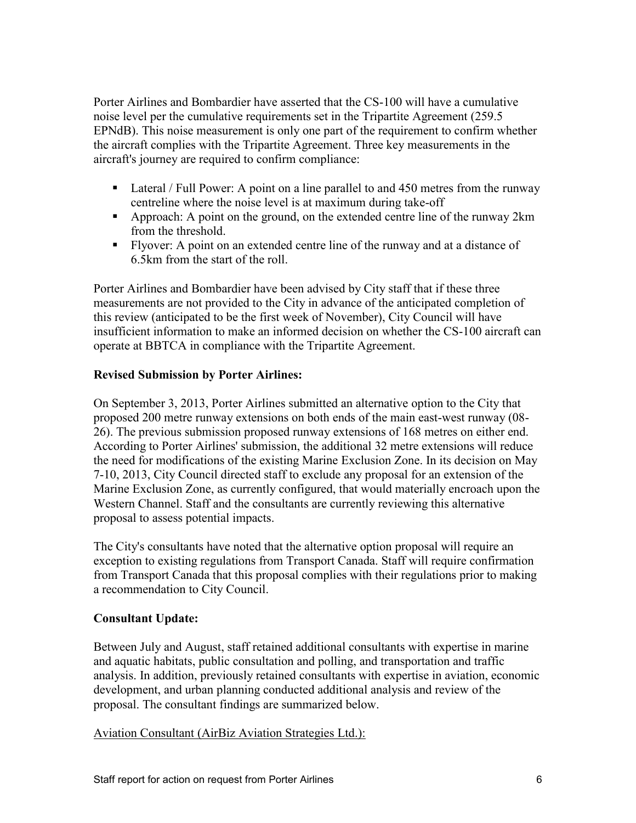Porter Airlines and Bombardier have asserted that the CS-100 will have a cumulative noise level per the cumulative requirements set in the Tripartite Agreement (259.5 EPNdB). This noise measurement is only one part of the requirement to confirm whether the aircraft complies with the Tripartite Agreement. Three key measurements in the aircraft's journey are required to confirm compliance:

- Lateral / Full Power: A point on a line parallel to and 450 metres from the runway centreline where the noise level is at maximum during take-off
- Approach: A point on the ground, on the extended centre line of the runway 2km from the threshold.
- Flyover: A point on an extended centre line of the runway and at a distance of 6.5km from the start of the roll.

Porter Airlines and Bombardier have been advised by City staff that if these three measurements are not provided to the City in advance of the anticipated completion of this review (anticipated to be the first week of November), City Council will have insufficient information to make an informed decision on whether the CS-100 aircraft can operate at BBTCA in compliance with the Tripartite Agreement.

### **Revised Submission by Porter Airlines:**

On September 3, 2013, Porter Airlines submitted an alternative option to the City that proposed 200 metre runway extensions on both ends of the main east-west runway (08- 26). The previous submission proposed runway extensions of 168 metres on either end. According to Porter Airlines' submission, the additional 32 metre extensions will reduce the need for modifications of the existing Marine Exclusion Zone. In its decision on May 7-10, 2013, City Council directed staff to exclude any proposal for an extension of the Marine Exclusion Zone, as currently configured, that would materially encroach upon the Western Channel. Staff and the consultants are currently reviewing this alternative proposal to assess potential impacts.

The City's consultants have noted that the alternative option proposal will require an exception to existing regulations from Transport Canada. Staff will require confirmation from Transport Canada that this proposal complies with their regulations prior to making a recommendation to City Council.

### **Consultant Update:**

Between July and August, staff retained additional consultants with expertise in marine and aquatic habitats, public consultation and polling, and transportation and traffic analysis. In addition, previously retained consultants with expertise in aviation, economic development, and urban planning conducted additional analysis and review of the proposal. The consultant findings are summarized below.

### Aviation Consultant (AirBiz Aviation Strategies Ltd.):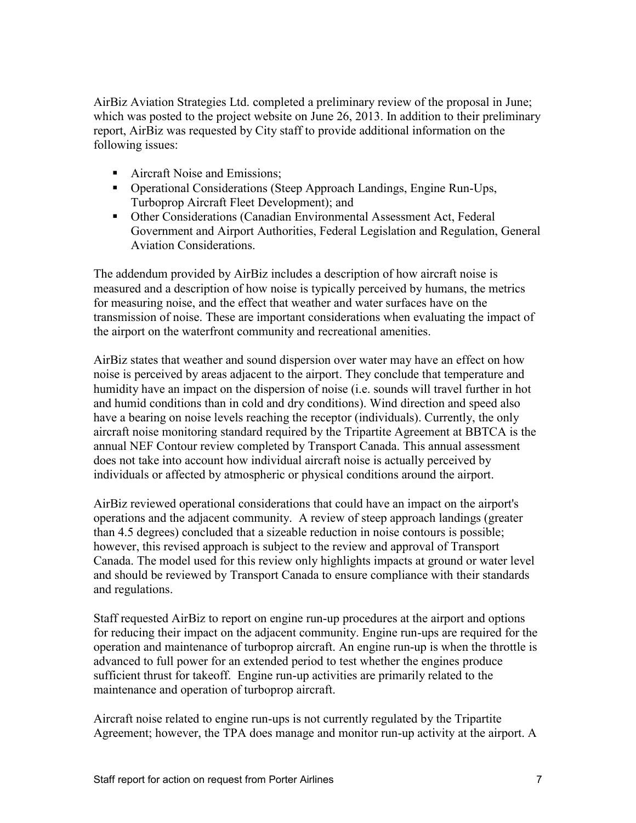AirBiz Aviation Strategies Ltd. completed a preliminary review of the proposal in June; which was posted to the project website on June 26, 2013. In addition to their preliminary report, AirBiz was requested by City staff to provide additional information on the following issues:

- Aircraft Noise and Emissions:
- Operational Considerations (Steep Approach Landings, Engine Run-Ups, Turboprop Aircraft Fleet Development); and
- Other Considerations (Canadian Environmental Assessment Act, Federal Government and Airport Authorities, Federal Legislation and Regulation, General Aviation Considerations.

The addendum provided by AirBiz includes a description of how aircraft noise is measured and a description of how noise is typically perceived by humans, the metrics for measuring noise, and the effect that weather and water surfaces have on the transmission of noise. These are important considerations when evaluating the impact of the airport on the waterfront community and recreational amenities.

AirBiz states that weather and sound dispersion over water may have an effect on how noise is perceived by areas adjacent to the airport. They conclude that temperature and humidity have an impact on the dispersion of noise (i.e. sounds will travel further in hot and humid conditions than in cold and dry conditions). Wind direction and speed also have a bearing on noise levels reaching the receptor (individuals). Currently, the only aircraft noise monitoring standard required by the Tripartite Agreement at BBTCA is the annual NEF Contour review completed by Transport Canada. This annual assessment does not take into account how individual aircraft noise is actually perceived by individuals or affected by atmospheric or physical conditions around the airport.

AirBiz reviewed operational considerations that could have an impact on the airport's operations and the adjacent community. A review of steep approach landings (greater than 4.5 degrees) concluded that a sizeable reduction in noise contours is possible; however, this revised approach is subject to the review and approval of Transport Canada. The model used for this review only highlights impacts at ground or water level and should be reviewed by Transport Canada to ensure compliance with their standards and regulations.

Staff requested AirBiz to report on engine run-up procedures at the airport and options for reducing their impact on the adjacent community. Engine run-ups are required for the operation and maintenance of turboprop aircraft. An engine run-up is when the throttle is advanced to full power for an extended period to test whether the engines produce sufficient thrust for takeoff. Engine run-up activities are primarily related to the maintenance and operation of turboprop aircraft.

Aircraft noise related to engine run-ups is not currently regulated by the Tripartite Agreement; however, the TPA does manage and monitor run-up activity at the airport. A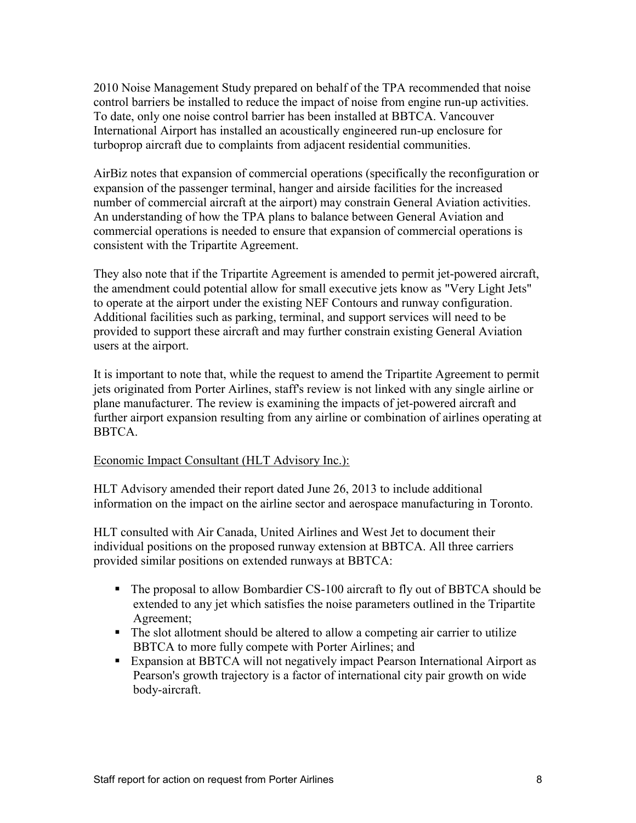2010 Noise Management Study prepared on behalf of the TPA recommended that noise control barriers be installed to reduce the impact of noise from engine run-up activities. To date, only one noise control barrier has been installed at BBTCA. Vancouver International Airport has installed an acoustically engineered run-up enclosure for turboprop aircraft due to complaints from adjacent residential communities.

AirBiz notes that expansion of commercial operations (specifically the reconfiguration or expansion of the passenger terminal, hanger and airside facilities for the increased number of commercial aircraft at the airport) may constrain General Aviation activities. An understanding of how the TPA plans to balance between General Aviation and commercial operations is needed to ensure that expansion of commercial operations is consistent with the Tripartite Agreement.

They also note that if the Tripartite Agreement is amended to permit jet-powered aircraft, the amendment could potential allow for small executive jets know as "Very Light Jets" to operate at the airport under the existing NEF Contours and runway configuration. Additional facilities such as parking, terminal, and support services will need to be provided to support these aircraft and may further constrain existing General Aviation users at the airport.

It is important to note that, while the request to amend the Tripartite Agreement to permit jets originated from Porter Airlines, staff's review is not linked with any single airline or plane manufacturer. The review is examining the impacts of jet-powered aircraft and further airport expansion resulting from any airline or combination of airlines operating at BBTCA.

#### Economic Impact Consultant (HLT Advisory Inc.):

HLT Advisory amended their report dated June 26, 2013 to include additional information on the impact on the airline sector and aerospace manufacturing in Toronto.

HLT consulted with Air Canada, United Airlines and West Jet to document their individual positions on the proposed runway extension at BBTCA. All three carriers provided similar positions on extended runways at BBTCA:

- The proposal to allow Bombardier CS-100 aircraft to fly out of BBTCA should be extended to any jet which satisfies the noise parameters outlined in the Tripartite Agreement;
- The slot allotment should be altered to allow a competing air carrier to utilize BBTCA to more fully compete with Porter Airlines; and
- Expansion at BBTCA will not negatively impact Pearson International Airport as Pearson's growth trajectory is a factor of international city pair growth on wide body-aircraft.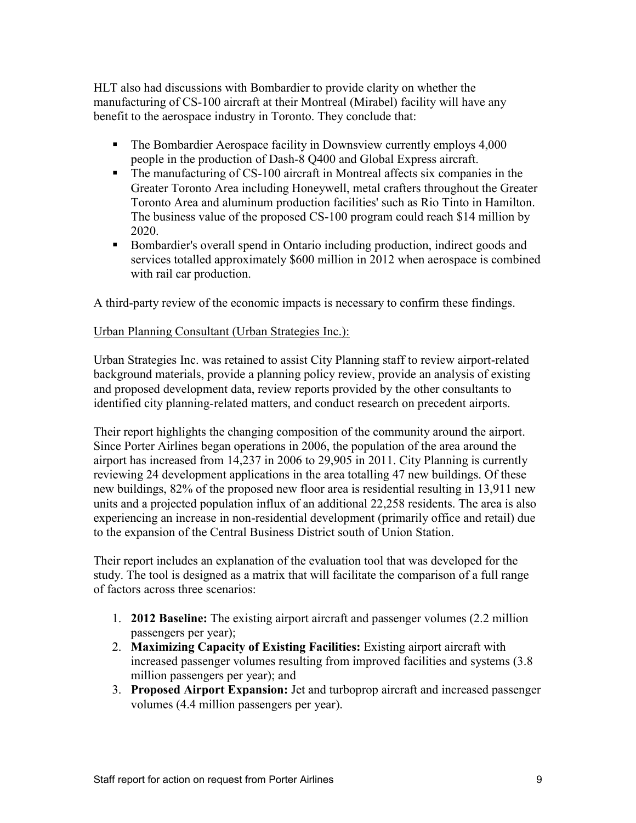HLT also had discussions with Bombardier to provide clarity on whether the manufacturing of CS-100 aircraft at their Montreal (Mirabel) facility will have any benefit to the aerospace industry in Toronto. They conclude that:

- The Bombardier Aerospace facility in Downsview currently employs 4,000 people in the production of Dash-8 Q400 and Global Express aircraft.
- The manufacturing of CS-100 aircraft in Montreal affects six companies in the Greater Toronto Area including Honeywell, metal crafters throughout the Greater Toronto Area and aluminum production facilities' such as Rio Tinto in Hamilton. The business value of the proposed CS-100 program could reach \$14 million by 2020.
- Bombardier's overall spend in Ontario including production, indirect goods and services totalled approximately \$600 million in 2012 when aerospace is combined with rail car production.

A third-party review of the economic impacts is necessary to confirm these findings.

#### Urban Planning Consultant (Urban Strategies Inc.):

Urban Strategies Inc. was retained to assist City Planning staff to review airport-related background materials, provide a planning policy review, provide an analysis of existing and proposed development data, review reports provided by the other consultants to identified city planning-related matters, and conduct research on precedent airports.

Their report highlights the changing composition of the community around the airport. Since Porter Airlines began operations in 2006, the population of the area around the airport has increased from 14,237 in 2006 to 29,905 in 2011. City Planning is currently reviewing 24 development applications in the area totalling 47 new buildings. Of these new buildings, 82% of the proposed new floor area is residential resulting in 13,911 new units and a projected population influx of an additional 22,258 residents. The area is also experiencing an increase in non-residential development (primarily office and retail) due to the expansion of the Central Business District south of Union Station.

Their report includes an explanation of the evaluation tool that was developed for the study. The tool is designed as a matrix that will facilitate the comparison of a full range of factors across three scenarios:

- 1. **2012 Baseline:** The existing airport aircraft and passenger volumes (2.2 million passengers per year);
- 2. **Maximizing Capacity of Existing Facilities:** Existing airport aircraft with increased passenger volumes resulting from improved facilities and systems (3.8 million passengers per year); and
- 3. **Proposed Airport Expansion:** Jet and turboprop aircraft and increased passenger volumes (4.4 million passengers per year).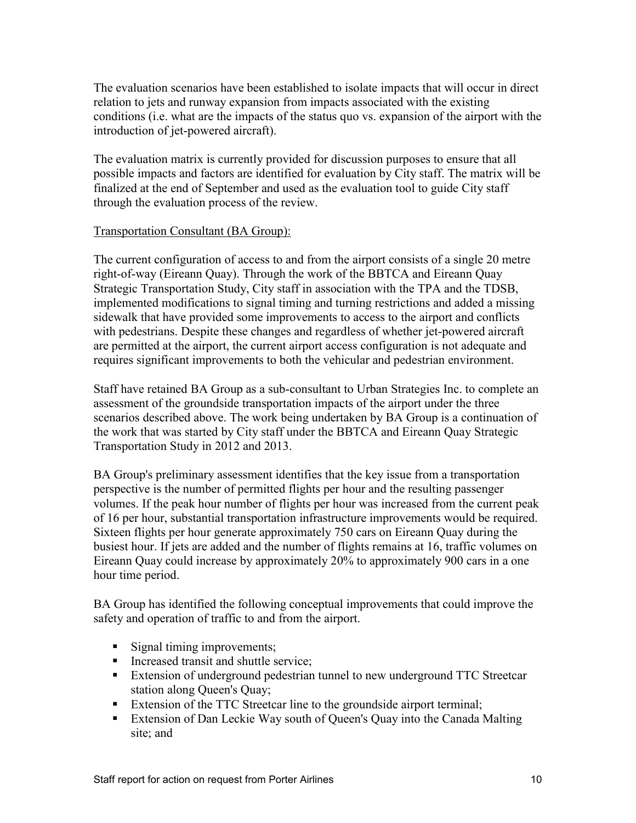The evaluation scenarios have been established to isolate impacts that will occur in direct relation to jets and runway expansion from impacts associated with the existing conditions (i.e. what are the impacts of the status quo vs. expansion of the airport with the introduction of jet-powered aircraft).

The evaluation matrix is currently provided for discussion purposes to ensure that all possible impacts and factors are identified for evaluation by City staff. The matrix will be finalized at the end of September and used as the evaluation tool to guide City staff through the evaluation process of the review.

#### Transportation Consultant (BA Group):

The current configuration of access to and from the airport consists of a single 20 metre right-of-way (Eireann Quay). Through the work of the BBTCA and Eireann Quay Strategic Transportation Study, City staff in association with the TPA and the TDSB, implemented modifications to signal timing and turning restrictions and added a missing sidewalk that have provided some improvements to access to the airport and conflicts with pedestrians. Despite these changes and regardless of whether jet-powered aircraft are permitted at the airport, the current airport access configuration is not adequate and requires significant improvements to both the vehicular and pedestrian environment.

Staff have retained BA Group as a sub-consultant to Urban Strategies Inc. to complete an assessment of the groundside transportation impacts of the airport under the three scenarios described above. The work being undertaken by BA Group is a continuation of the work that was started by City staff under the BBTCA and Eireann Quay Strategic Transportation Study in 2012 and 2013.

BA Group's preliminary assessment identifies that the key issue from a transportation perspective is the number of permitted flights per hour and the resulting passenger volumes. If the peak hour number of flights per hour was increased from the current peak of 16 per hour, substantial transportation infrastructure improvements would be required. Sixteen flights per hour generate approximately 750 cars on Eireann Quay during the busiest hour. If jets are added and the number of flights remains at 16, traffic volumes on Eireann Quay could increase by approximately 20% to approximately 900 cars in a one hour time period.

BA Group has identified the following conceptual improvements that could improve the safety and operation of traffic to and from the airport.

- Signal timing improvements;
- Increased transit and shuttle service;
- Extension of underground pedestrian tunnel to new underground TTC Streetcar station along Queen's Quay;
- Extension of the TTC Streetcar line to the groundside airport terminal;
- Extension of Dan Leckie Way south of Queen's Quay into the Canada Malting site; and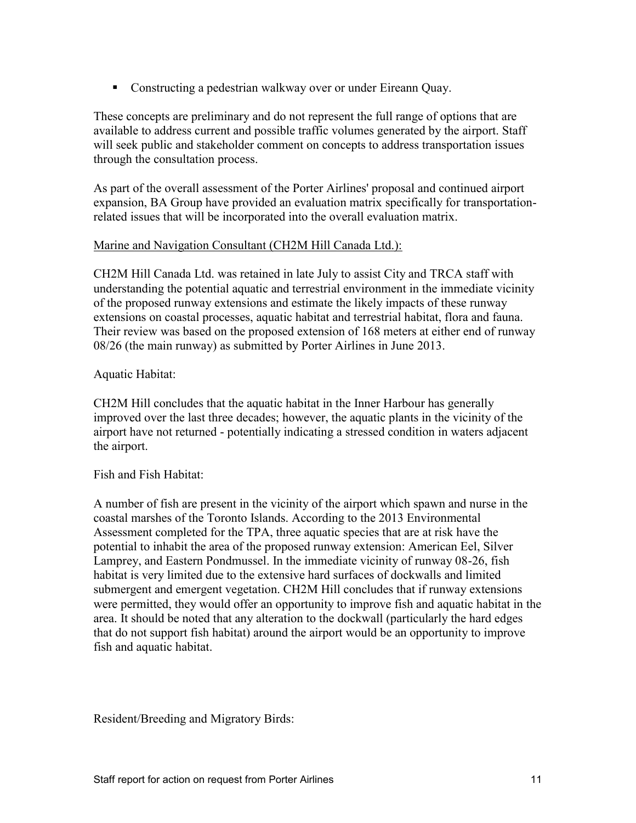Constructing a pedestrian walkway over or under Eireann Quay.

These concepts are preliminary and do not represent the full range of options that are available to address current and possible traffic volumes generated by the airport. Staff will seek public and stakeholder comment on concepts to address transportation issues through the consultation process.

As part of the overall assessment of the Porter Airlines' proposal and continued airport expansion, BA Group have provided an evaluation matrix specifically for transportationrelated issues that will be incorporated into the overall evaluation matrix.

#### Marine and Navigation Consultant (CH2M Hill Canada Ltd.):

CH2M Hill Canada Ltd. was retained in late July to assist City and TRCA staff with understanding the potential aquatic and terrestrial environment in the immediate vicinity of the proposed runway extensions and estimate the likely impacts of these runway extensions on coastal processes, aquatic habitat and terrestrial habitat, flora and fauna. Their review was based on the proposed extension of 168 meters at either end of runway 08/26 (the main runway) as submitted by Porter Airlines in June 2013.

#### Aquatic Habitat:

CH2M Hill concludes that the aquatic habitat in the Inner Harbour has generally improved over the last three decades; however, the aquatic plants in the vicinity of the airport have not returned - potentially indicating a stressed condition in waters adjacent the airport.

### Fish and Fish Habitat:

A number of fish are present in the vicinity of the airport which spawn and nurse in the coastal marshes of the Toronto Islands. According to the 2013 Environmental Assessment completed for the TPA, three aquatic species that are at risk have the potential to inhabit the area of the proposed runway extension: American Eel, Silver Lamprey, and Eastern Pondmussel. In the immediate vicinity of runway 08-26, fish habitat is very limited due to the extensive hard surfaces of dockwalls and limited submergent and emergent vegetation. CH2M Hill concludes that if runway extensions were permitted, they would offer an opportunity to improve fish and aquatic habitat in the area. It should be noted that any alteration to the dockwall (particularly the hard edges that do not support fish habitat) around the airport would be an opportunity to improve fish and aquatic habitat.

Resident/Breeding and Migratory Birds: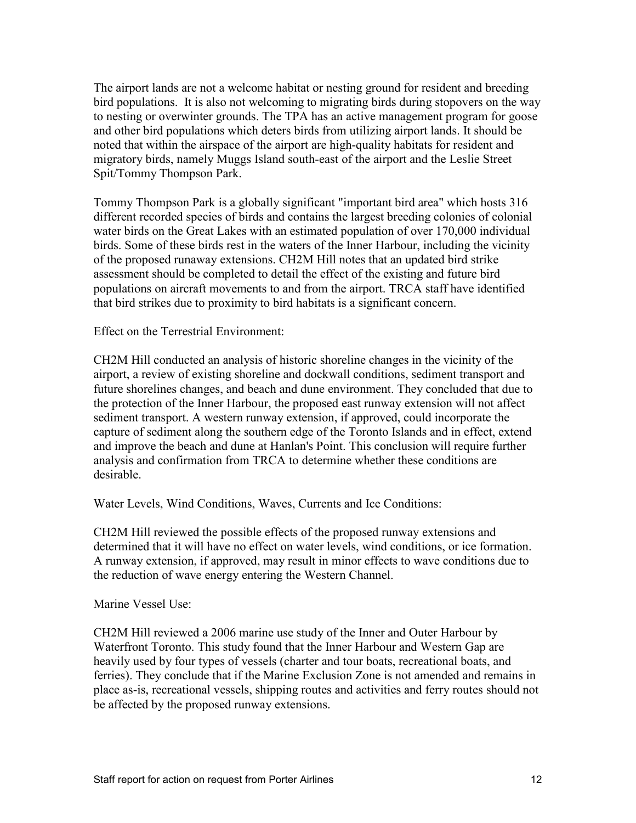The airport lands are not a welcome habitat or nesting ground for resident and breeding bird populations. It is also not welcoming to migrating birds during stopovers on the way to nesting or overwinter grounds. The TPA has an active management program for goose and other bird populations which deters birds from utilizing airport lands. It should be noted that within the airspace of the airport are high-quality habitats for resident and migratory birds, namely Muggs Island south-east of the airport and the Leslie Street Spit/Tommy Thompson Park.

Tommy Thompson Park is a globally significant "important bird area" which hosts 316 different recorded species of birds and contains the largest breeding colonies of colonial water birds on the Great Lakes with an estimated population of over 170,000 individual birds. Some of these birds rest in the waters of the Inner Harbour, including the vicinity of the proposed runaway extensions. CH2M Hill notes that an updated bird strike assessment should be completed to detail the effect of the existing and future bird populations on aircraft movements to and from the airport. TRCA staff have identified that bird strikes due to proximity to bird habitats is a significant concern.

Effect on the Terrestrial Environment:

CH2M Hill conducted an analysis of historic shoreline changes in the vicinity of the airport, a review of existing shoreline and dockwall conditions, sediment transport and future shorelines changes, and beach and dune environment. They concluded that due to the protection of the Inner Harbour, the proposed east runway extension will not affect sediment transport. A western runway extension, if approved, could incorporate the capture of sediment along the southern edge of the Toronto Islands and in effect, extend and improve the beach and dune at Hanlan's Point. This conclusion will require further analysis and confirmation from TRCA to determine whether these conditions are desirable.

Water Levels, Wind Conditions, Waves, Currents and Ice Conditions:

CH2M Hill reviewed the possible effects of the proposed runway extensions and determined that it will have no effect on water levels, wind conditions, or ice formation. A runway extension, if approved, may result in minor effects to wave conditions due to the reduction of wave energy entering the Western Channel.

Marine Vessel Use:

CH2M Hill reviewed a 2006 marine use study of the Inner and Outer Harbour by Waterfront Toronto. This study found that the Inner Harbour and Western Gap are heavily used by four types of vessels (charter and tour boats, recreational boats, and ferries). They conclude that if the Marine Exclusion Zone is not amended and remains in place as-is, recreational vessels, shipping routes and activities and ferry routes should not be affected by the proposed runway extensions.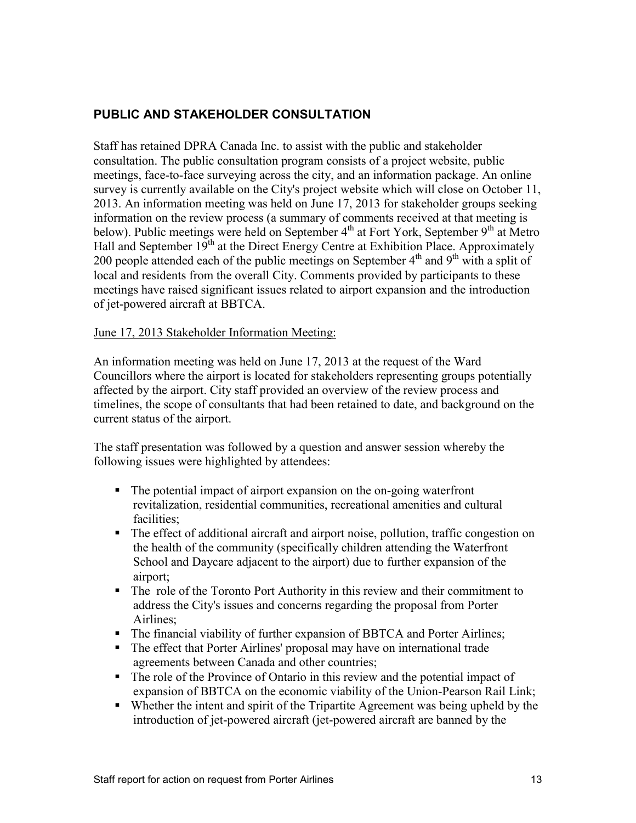## **PUBLIC AND STAKEHOLDER CONSULTATION**

Staff has retained DPRA Canada Inc. to assist with the public and stakeholder consultation. The public consultation program consists of a project website, public meetings, face-to-face surveying across the city, and an information package. An online survey is currently available on the City's project website which will close on October 11, 2013. An information meeting was held on June 17, 2013 for stakeholder groups seeking information on the review process (a summary of comments received at that meeting is below). Public meetings were held on September 4<sup>th</sup> at Fort York, September 9<sup>th</sup> at Metro Hall and September 19<sup>th</sup> at the Direct Energy Centre at Exhibition Place. Approximately 200 people attended each of the public meetings on September  $4<sup>th</sup>$  and  $9<sup>th</sup>$  with a split of local and residents from the overall City. Comments provided by participants to these meetings have raised significant issues related to airport expansion and the introduction of jet-powered aircraft at BBTCA.

#### June 17, 2013 Stakeholder Information Meeting:

An information meeting was held on June 17, 2013 at the request of the Ward Councillors where the airport is located for stakeholders representing groups potentially affected by the airport. City staff provided an overview of the review process and timelines, the scope of consultants that had been retained to date, and background on the current status of the airport.

The staff presentation was followed by a question and answer session whereby the following issues were highlighted by attendees:

- The potential impact of airport expansion on the on-going waterfront revitalization, residential communities, recreational amenities and cultural facilities;
- The effect of additional aircraft and airport noise, pollution, traffic congestion on the health of the community (specifically children attending the Waterfront School and Daycare adjacent to the airport) due to further expansion of the airport;
- The role of the Toronto Port Authority in this review and their commitment to address the City's issues and concerns regarding the proposal from Porter Airlines;
- The financial viability of further expansion of BBTCA and Porter Airlines;
- The effect that Porter Airlines' proposal may have on international trade agreements between Canada and other countries;
- The role of the Province of Ontario in this review and the potential impact of expansion of BBTCA on the economic viability of the Union-Pearson Rail Link;
- Whether the intent and spirit of the Tripartite Agreement was being upheld by the introduction of jet-powered aircraft (jet-powered aircraft are banned by the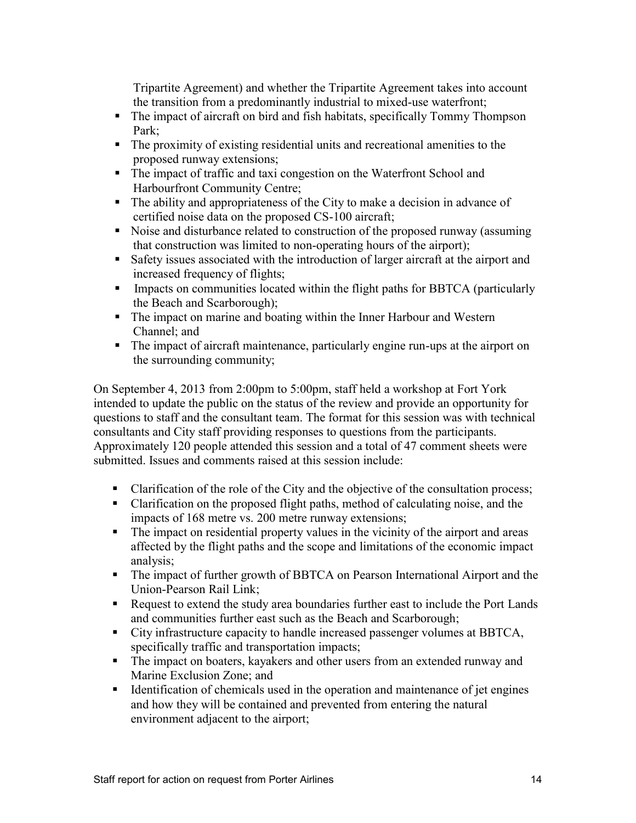Tripartite Agreement) and whether the Tripartite Agreement takes into account the transition from a predominantly industrial to mixed-use waterfront;

- The impact of aircraft on bird and fish habitats, specifically Tommy Thompson Park;
- The proximity of existing residential units and recreational amenities to the proposed runway extensions;
- The impact of traffic and taxi congestion on the Waterfront School and Harbourfront Community Centre;
- The ability and appropriateness of the City to make a decision in advance of certified noise data on the proposed CS-100 aircraft;
- Noise and disturbance related to construction of the proposed runway (assuming that construction was limited to non-operating hours of the airport);
- Safety issues associated with the introduction of larger aircraft at the airport and increased frequency of flights;
- Impacts on communities located within the flight paths for BBTCA (particularly the Beach and Scarborough);
- The impact on marine and boating within the Inner Harbour and Western Channel; and
- The impact of aircraft maintenance, particularly engine run-ups at the airport on the surrounding community;

On September 4, 2013 from 2:00pm to 5:00pm, staff held a workshop at Fort York intended to update the public on the status of the review and provide an opportunity for questions to staff and the consultant team. The format for this session was with technical consultants and City staff providing responses to questions from the participants. Approximately 120 people attended this session and a total of 47 comment sheets were submitted. Issues and comments raised at this session include:

- Clarification of the role of the City and the objective of the consultation process;
- Clarification on the proposed flight paths, method of calculating noise, and the impacts of 168 metre vs. 200 metre runway extensions;
- The impact on residential property values in the vicinity of the airport and areas affected by the flight paths and the scope and limitations of the economic impact analysis;
- The impact of further growth of BBTCA on Pearson International Airport and the Union-Pearson Rail Link;
- Request to extend the study area boundaries further east to include the Port Lands and communities further east such as the Beach and Scarborough;
- City infrastructure capacity to handle increased passenger volumes at BBTCA, specifically traffic and transportation impacts;
- The impact on boaters, kayakers and other users from an extended runway and Marine Exclusion Zone; and
- If Identification of chemicals used in the operation and maintenance of jet engines and how they will be contained and prevented from entering the natural environment adjacent to the airport;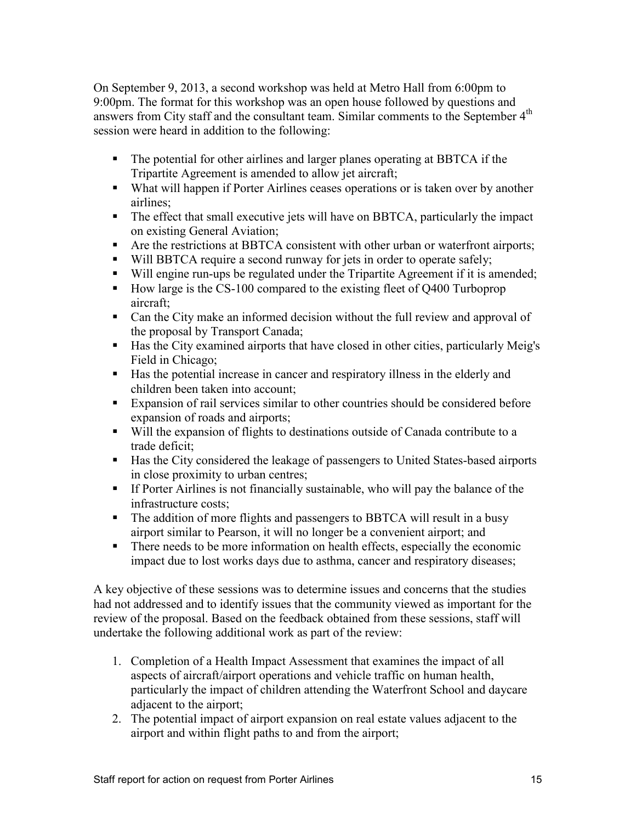On September 9, 2013, a second workshop was held at Metro Hall from 6:00pm to 9:00pm. The format for this workshop was an open house followed by questions and answers from City staff and the consultant team. Similar comments to the September 4<sup>th</sup> session were heard in addition to the following:

- The potential for other airlines and larger planes operating at BBTCA if the Tripartite Agreement is amended to allow jet aircraft;
- What will happen if Porter Airlines ceases operations or is taken over by another airlines;
- The effect that small executive jets will have on BBTCA, particularly the impact on existing General Aviation;
- Are the restrictions at BBTCA consistent with other urban or waterfront airports;
- Will BBTCA require a second runway for jets in order to operate safely;
- Will engine run-ups be regulated under the Tripartite Agreement if it is amended;
- How large is the CS-100 compared to the existing fleet of O400 Turboprop aircraft;
- Can the City make an informed decision without the full review and approval of the proposal by Transport Canada;
- Has the City examined airports that have closed in other cities, particularly Meig's Field in Chicago;
- Has the potential increase in cancer and respiratory illness in the elderly and children been taken into account;
- Expansion of rail services similar to other countries should be considered before expansion of roads and airports;
- Will the expansion of flights to destinations outside of Canada contribute to a trade deficit;
- Has the City considered the leakage of passengers to United States-based airports in close proximity to urban centres;
- If Porter Airlines is not financially sustainable, who will pay the balance of the infrastructure costs;
- The addition of more flights and passengers to BBTCA will result in a busy airport similar to Pearson, it will no longer be a convenient airport; and
- There needs to be more information on health effects, especially the economic impact due to lost works days due to asthma, cancer and respiratory diseases;

A key objective of these sessions was to determine issues and concerns that the studies had not addressed and to identify issues that the community viewed as important for the review of the proposal. Based on the feedback obtained from these sessions, staff will undertake the following additional work as part of the review:

- 1. Completion of a Health Impact Assessment that examines the impact of all aspects of aircraft/airport operations and vehicle traffic on human health, particularly the impact of children attending the Waterfront School and daycare adjacent to the airport;
- 2. The potential impact of airport expansion on real estate values adjacent to the airport and within flight paths to and from the airport;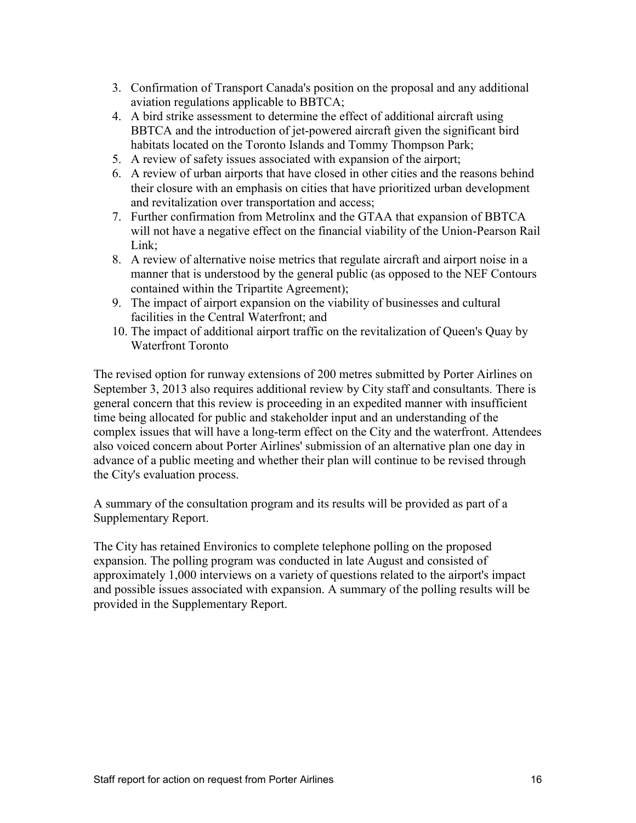- 3. Confirmation of Transport Canada's position on the proposal and any additional aviation regulations applicable to BBTCA;
- 4. A bird strike assessment to determine the effect of additional aircraft using BBTCA and the introduction of jet-powered aircraft given the significant bird habitats located on the Toronto Islands and Tommy Thompson Park;
- 5. A review of safety issues associated with expansion of the airport;
- 6. A review of urban airports that have closed in other cities and the reasons behind their closure with an emphasis on cities that have prioritized urban development and revitalization over transportation and access;
- 7. Further confirmation from Metrolinx and the GTAA that expansion of BBTCA will not have a negative effect on the financial viability of the Union-Pearson Rail Link;
- 8. A review of alternative noise metrics that regulate aircraft and airport noise in a manner that is understood by the general public (as opposed to the NEF Contours contained within the Tripartite Agreement);
- 9. The impact of airport expansion on the viability of businesses and cultural facilities in the Central Waterfront; and
- 10. The impact of additional airport traffic on the revitalization of Queen's Quay by Waterfront Toronto

The revised option for runway extensions of 200 metres submitted by Porter Airlines on September 3, 2013 also requires additional review by City staff and consultants. There is general concern that this review is proceeding in an expedited manner with insufficient time being allocated for public and stakeholder input and an understanding of the complex issues that will have a long-term effect on the City and the waterfront. Attendees also voiced concern about Porter Airlines' submission of an alternative plan one day in advance of a public meeting and whether their plan will continue to be revised through the City's evaluation process.

A summary of the consultation program and its results will be provided as part of a Supplementary Report.

The City has retained Environics to complete telephone polling on the proposed expansion. The polling program was conducted in late August and consisted of approximately 1,000 interviews on a variety of questions related to the airport's impact and possible issues associated with expansion. A summary of the polling results will be provided in the Supplementary Report.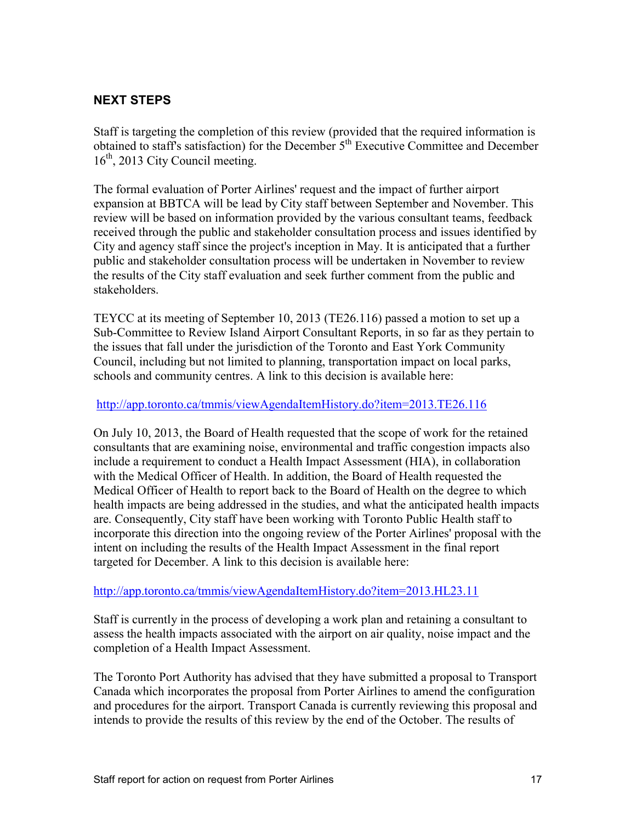## **NEXT STEPS**

Staff is targeting the completion of this review (provided that the required information is obtained to staff's satisfaction) for the December 5<sup>th</sup> Executive Committee and December  $16<sup>th</sup>$ , 2013 City Council meeting.

The formal evaluation of Porter Airlines' request and the impact of further airport expansion at BBTCA will be lead by City staff between September and November. This review will be based on information provided by the various consultant teams, feedback received through the public and stakeholder consultation process and issues identified by City and agency staff since the project's inception in May. It is anticipated that a further public and stakeholder consultation process will be undertaken in November to review the results of the City staff evaluation and seek further comment from the public and stakeholders.

TEYCC at its meeting of September 10, 2013 (TE26.116) passed a motion to set up a Sub-Committee to Review Island Airport Consultant Reports, in so far as they pertain to the issues that fall under the jurisdiction of the Toronto and East York Community Council, including but not limited to planning, transportation impact on local parks, schools and community centres. A link to this decision is available here:

#### <http://app.toronto.ca/tmmis/viewAgendaItemHistory.do?item=2013.TE26.116>

On July 10, 2013, the Board of Health requested that the scope of work for the retained consultants that are examining noise, environmental and traffic congestion impacts also include a requirement to conduct a Health Impact Assessment (HIA), in collaboration with the Medical Officer of Health. In addition, the Board of Health requested the Medical Officer of Health to report back to the Board of Health on the degree to which health impacts are being addressed in the studies, and what the anticipated health impacts are. Consequently, City staff have been working with Toronto Public Health staff to incorporate this direction into the ongoing review of the Porter Airlines' proposal with the intent on including the results of the Health Impact Assessment in the final report targeted for December. A link to this decision is available here:

#### <http://app.toronto.ca/tmmis/viewAgendaItemHistory.do?item=2013.HL23.11>

Staff is currently in the process of developing a work plan and retaining a consultant to assess the health impacts associated with the airport on air quality, noise impact and the completion of a Health Impact Assessment.

The Toronto Port Authority has advised that they have submitted a proposal to Transport Canada which incorporates the proposal from Porter Airlines to amend the configuration and procedures for the airport. Transport Canada is currently reviewing this proposal and intends to provide the results of this review by the end of the October. The results of